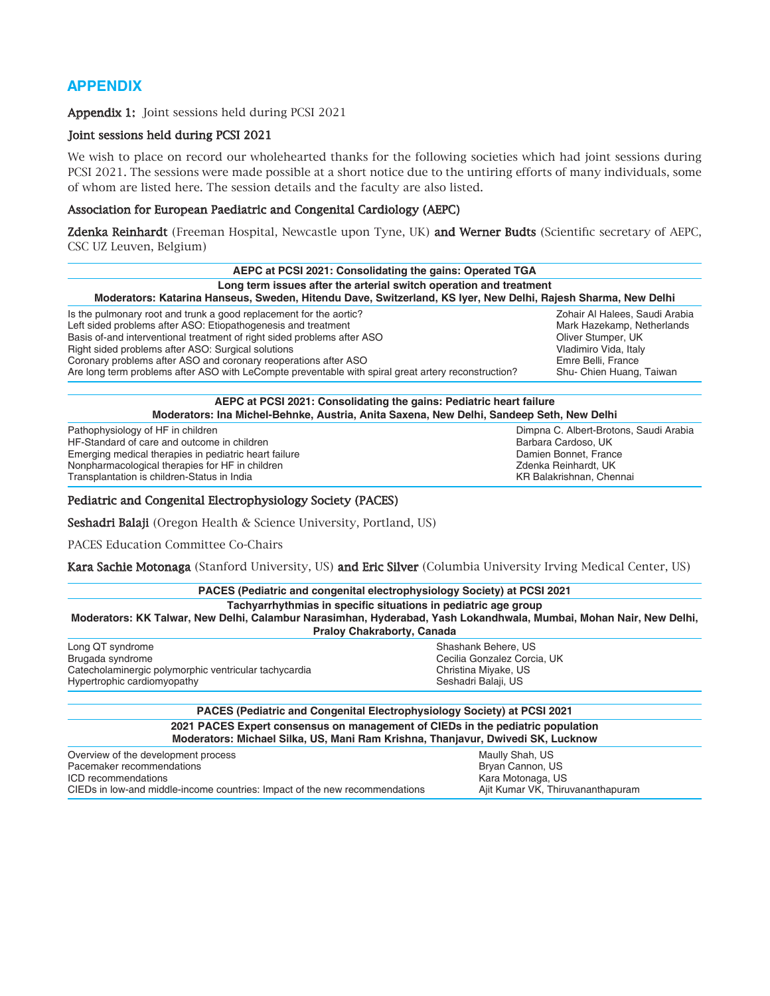# **APPENDIX**

Appendix 1: Joint sessions held during PCSI 2021

### Joint sessions held during PCSI 2021

We wish to place on record our wholehearted thanks for the following societies which had joint sessions during PCSI 2021. The sessions were made possible at a short notice due to the untiring efforts of many individuals, some of whom are listed here. The session details and the faculty are also listed.

## Association for European Paediatric and Congenital Cardiology (AEPC)

Zdenka Reinhardt (Freeman Hospital, Newcastle upon Tyne, UK) and Werner Budts (Scientific secretary of AEPC, CSC UZ Leuven, Belgium)

| AEPC at PCSI 2021: Consolidating the gains: Operated TGA<br>Long term issues after the arterial switch operation and treatment<br>Moderators: Katarina Hanseus, Sweden, Hitendu Dave, Switzerland, KS Iyer, New Delhi, Rajesh Sharma, New Delhi |                          |  |                                                                    |                                |
|-------------------------------------------------------------------------------------------------------------------------------------------------------------------------------------------------------------------------------------------------|--------------------------|--|--------------------------------------------------------------------|--------------------------------|
|                                                                                                                                                                                                                                                 |                          |  | Is the pulmonary root and trunk a good replacement for the aortic? | Zohair Al Halees, Saudi Arabia |
|                                                                                                                                                                                                                                                 |                          |  | Left sided problems after ASO: Etiopathogenesis and treatment      | Mark Hazekamp, Netherlands     |
| Basis of-and interventional treatment of right sided problems after ASO                                                                                                                                                                         | Oliver Stumper, UK       |  |                                                                    |                                |
| Right sided problems after ASO: Surgical solutions                                                                                                                                                                                              | Vladimiro Vida, Italy    |  |                                                                    |                                |
| Coronary problems after ASO and coronary reoperations after ASO                                                                                                                                                                                 | Emre Belli, France       |  |                                                                    |                                |
| Are long term problems after ASO with LeCompte preventable with spiral great artery reconstruction?                                                                                                                                             | Shu- Chien Huang, Taiwan |  |                                                                    |                                |

## **AEPC at PCSI 2021: Consolidating the gains: Pediatric heart failure Moderators: Ina Michel‑Behnke, Austria, Anita Saxena, New Delhi, Sandeep Seth, New Delhi**

Pathophysiology of HF in children and children Dimpna C. Albert‐Brotons, Saudi Arabia<br>
Dimpna C. Albert‐Brotons, Saudi Arabia<br>
Barbara Cardoso, UK HF-Standard of care and outcome in children and the standard care and barbara Cardoso, UK<br>
Emerging medical therapies in pediatric heart failure and the standard barbara Cardoso, UK<br>
Damien Bonnet, France Emerging medical therapies in pediatric heart failure Nonpharmacological therapies for HF in children Zolehn States and Theorem 2011 Monpharmacological therapies for<br>Transplantation is children-Status in India Zolehn States and Theorem 2012 May 2012 May 2013 May 2013 May 2013 Transplantation is children-Status in India

# Pediatric and Congenital Electrophysiology Society (PACES)

Seshadri Balaji (Oregon Health & Science University, Portland, US)

PACES Education Committee Co-Chairs

Kara Sachie Motonaga (Stanford University, US) and Eric Silver (Columbia University Irving Medical Center, US)

| <b>PACES (Pediatric and congenital electrophysiology Society) at PCSI 2021</b>                                                                                                                                            |                                                                                                                                                                   |  |  |
|---------------------------------------------------------------------------------------------------------------------------------------------------------------------------------------------------------------------------|-------------------------------------------------------------------------------------------------------------------------------------------------------------------|--|--|
| Tachyarrhythmias in specific situations in pediatric age group<br>Moderators: KK Talwar, New Delhi, Calambur Narasimhan, Hyderabad, Yash Lokandhwala, Mumbai, Mohan Nair, New Delhi,<br><b>Praloy Chakraborty, Canada</b> |                                                                                                                                                                   |  |  |
| Long QT syndrome                                                                                                                                                                                                          | Shashank Behere, US                                                                                                                                               |  |  |
| Brugada syndrome                                                                                                                                                                                                          | Cecilia Gonzalez Corcia, UK                                                                                                                                       |  |  |
| Catecholaminergic polymorphic ventricular tachycardia                                                                                                                                                                     | Christina Miyake, US                                                                                                                                              |  |  |
| Hypertrophic cardiomyopathy                                                                                                                                                                                               | Seshadri Balaji, US                                                                                                                                               |  |  |
|                                                                                                                                                                                                                           | <b>PACES (Pediatric and Congenital Electrophysiology Society) at PCSI 2021</b>                                                                                    |  |  |
|                                                                                                                                                                                                                           | 2021 PACES Expert consensus on management of CIEDs in the pediatric population<br>Moderators: Michael Silka, US, Mani Ram Krishna, Thanjavur, Dwivedi SK, Lucknow |  |  |
| Overview of the development process                                                                                                                                                                                       | Maully Shah, US                                                                                                                                                   |  |  |

| Overview of the development process                                         | Maully Shah, US                   |
|-----------------------------------------------------------------------------|-----------------------------------|
| Pacemaker recommendations                                                   | Bryan Cannon, US                  |
| ICD recommendations                                                         | Kara Motonaga, US                 |
| CIEDs in low-and middle-income countries: Impact of the new recommendations | Ajit Kumar VK, Thiruvananthapuram |